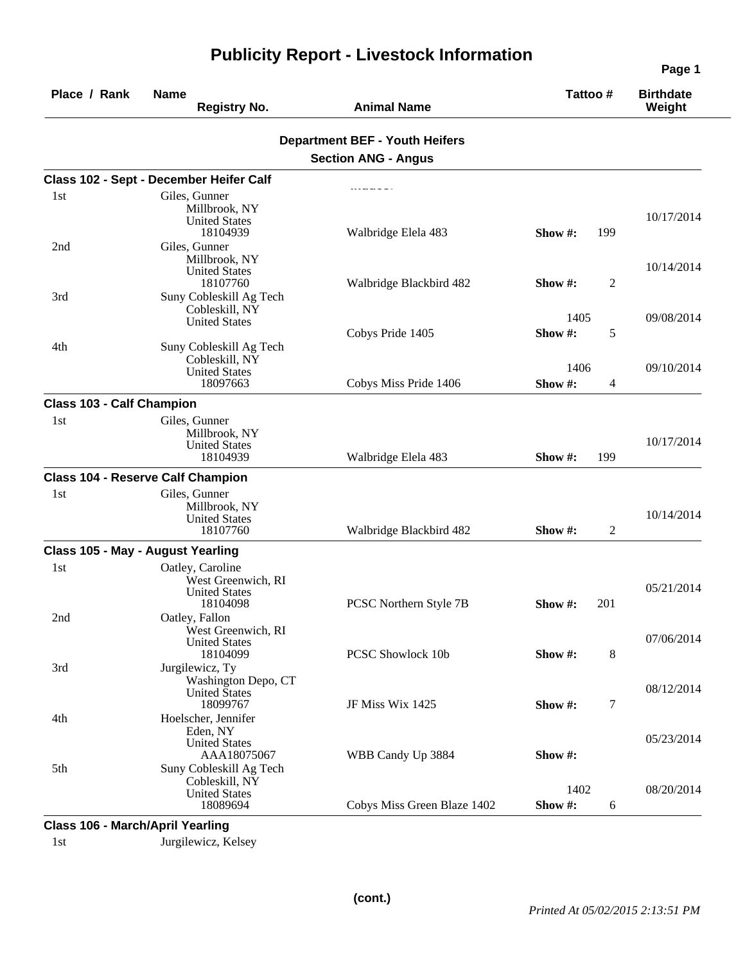| Place / Rank                     | <b>Name</b><br><b>Registry No.</b>                                         | <b>Animal Name</b>                    | Tattoo#                      | <b>Birthdate</b><br>Weight |
|----------------------------------|----------------------------------------------------------------------------|---------------------------------------|------------------------------|----------------------------|
|                                  |                                                                            | <b>Department BEF - Youth Heifers</b> |                              |                            |
|                                  |                                                                            | <b>Section ANG - Angus</b>            |                              |                            |
|                                  | Class 102 - Sept - December Heifer Calf                                    |                                       |                              |                            |
| 1st                              | Giles, Gunner                                                              |                                       |                              |                            |
|                                  | Millbrook, NY<br><b>United States</b><br>18104939                          | Walbridge Elela 483                   | 199<br>Show $#$ :            | 10/17/2014                 |
| 2nd                              | Giles, Gunner<br>Millbrook, NY<br><b>United States</b><br>18107760         | Walbridge Blackbird 482               | $\overline{c}$<br>Show $#$ : | 10/14/2014                 |
| 3rd                              | Suny Cobleskill Ag Tech<br>Cobleskill, NY                                  |                                       | 1405                         | 09/08/2014                 |
| 4th                              | <b>United States</b><br>Suny Cobleskill Ag Tech                            | Cobys Pride 1405                      | Show #:<br>5                 |                            |
|                                  | Cobleskill, NY<br><b>United States</b>                                     |                                       | 1406                         | 09/10/2014                 |
|                                  | 18097663                                                                   | Cobys Miss Pride 1406                 | Show #:<br>4                 |                            |
| <b>Class 103 - Calf Champion</b> |                                                                            |                                       |                              |                            |
| 1st                              | Giles, Gunner<br>Millbrook, NY<br><b>United States</b><br>18104939         | Walbridge Elela 483                   | 199<br>Show $#$ :            | 10/17/2014                 |
|                                  | <b>Class 104 - Reserve Calf Champion</b>                                   |                                       |                              |                            |
| 1st                              | Giles, Gunner<br>Millbrook, NY<br><b>United States</b><br>18107760         | Walbridge Blackbird 482               | Show #:<br>2                 | 10/14/2014                 |
|                                  | Class 105 - May - August Yearling                                          |                                       |                              |                            |
| 1st                              | Oatley, Caroline<br>West Greenwich, RI<br><b>United States</b><br>18104098 | PCSC Northern Style 7B                | Show #:<br>201               | 05/21/2014                 |
| 2nd                              | Oatley, Fallon<br>West Greenwich, RI<br><b>United States</b><br>18104099   | PCSC Showlock 10b                     | 8<br>Show #:                 | 07/06/2014                 |
| 3rd                              | Jurgilewicz, Ty<br>Washington Depo, CT<br><b>United States</b><br>18099767 | JF Miss Wix 1425                      | 7<br>Show #:                 | 08/12/2014                 |
| 4th                              | Hoelscher, Jennifer<br>Eden, NY<br><b>United States</b>                    |                                       |                              | 05/23/2014                 |
| 5th                              | AAA18075067<br>Suny Cobleskill Ag Tech<br>Cobleskill, NY                   | WBB Candy Up 3884                     | Show #:                      |                            |
|                                  | <b>United States</b><br>18089694                                           | Cobys Miss Green Blaze 1402           | 1402<br>Show #:<br>6         | 08/20/2014                 |

## **Publicity Report - Livestock Information**

**Class 106 - March/April Yearling** 

1st Jurgilewicz, Kelsey

**(cont.)**

**Page 1**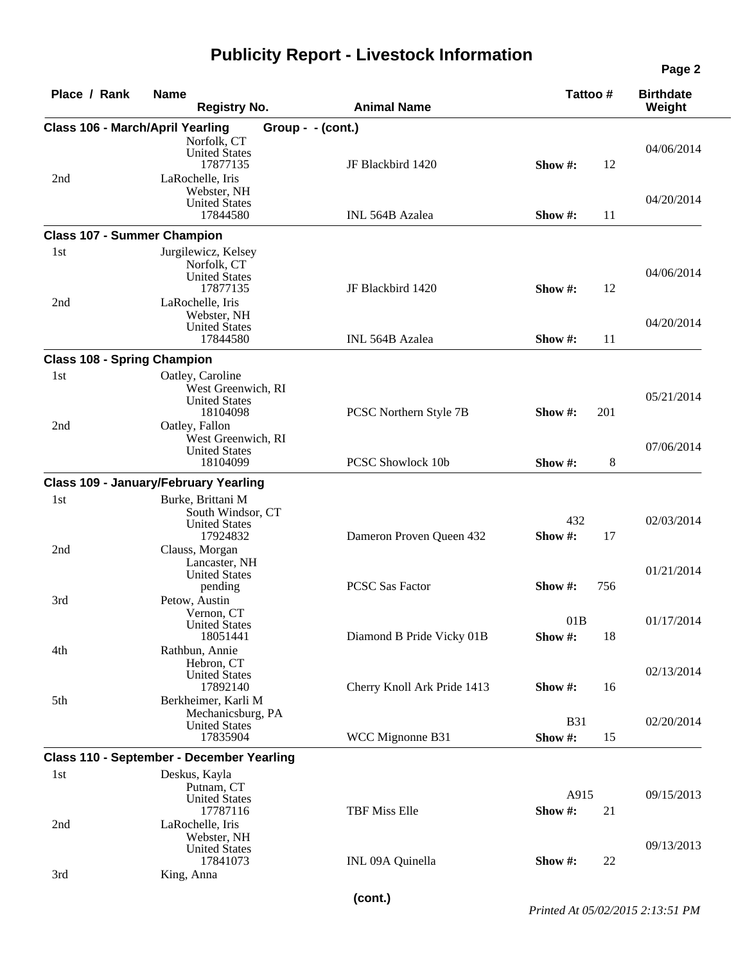## **Publicity Report - Livestock Information**

| Place / Rank | <b>Name</b><br><b>Registry No.</b>                                                                        | <b>Animal Name</b>          | Tattoo#                     | <b>Birthdate</b><br>Weight |
|--------------|-----------------------------------------------------------------------------------------------------------|-----------------------------|-----------------------------|----------------------------|
|              | <b>Class 106 - March/April Yearling</b>                                                                   | Group - - (cont.)           |                             |                            |
| 2nd          | Norfolk, CT<br><b>United States</b><br>17877135<br>LaRochelle, Iris                                       | JF Blackbird 1420           | Show #:<br>12               | 04/06/2014                 |
|              | Webster, NH<br><b>United States</b><br>17844580                                                           | <b>INL 564B Azalea</b>      | Show $#$ :<br>11            | 04/20/2014                 |
|              | <b>Class 107 - Summer Champion</b>                                                                        |                             |                             |                            |
| 1st<br>2nd   | Jurgilewicz, Kelsey<br>Norfolk, CT<br><b>United States</b><br>17877135<br>LaRochelle, Iris<br>Webster, NH | JF Blackbird 1420           | 12<br>Show $#$ :            | 04/06/2014                 |
|              | <b>United States</b><br>17844580                                                                          | INL 564B Azalea             | Show #:<br>11               | 04/20/2014                 |
|              | <b>Class 108 - Spring Champion</b>                                                                        |                             |                             |                            |
| 1st<br>2nd   | Oatley, Caroline<br>West Greenwich, RI<br><b>United States</b><br>18104098<br>Oatley, Fallon              | PCSC Northern Style 7B      | 201<br>Show $#$ :           | 05/21/2014                 |
|              | West Greenwich, RI<br><b>United States</b><br>18104099                                                    | PCSC Showlock 10b           | 8<br>Show #:                | 07/06/2014                 |
|              | <b>Class 109 - January/February Yearling</b>                                                              |                             |                             |                            |
| 1st<br>2nd   | Burke, Brittani M<br>South Windsor, CT<br><b>United States</b><br>17924832<br>Clauss, Morgan              | Dameron Proven Queen 432    | 432<br>Show #:<br>17        | 02/03/2014                 |
| 3rd          | Lancaster, NH<br><b>United States</b><br>pending<br>Petow, Austin                                         | <b>PCSC Sas Factor</b>      | Show #:<br>756              | 01/21/2014                 |
| 4th          | Vernon, CT<br><b>United States</b><br>18051441<br>Rathbun, Annie                                          | Diamond B Pride Vicky 01B   | 01B<br>Show #:<br>18        | 01/17/2014                 |
| 5th          | Hebron, CT<br><b>United States</b><br>17892140<br>Berkheimer, Karli M                                     | Cherry Knoll Ark Pride 1413 | Show #:<br>16               | 02/13/2014                 |
|              | Mechanicsburg, PA<br><b>United States</b><br>17835904                                                     | WCC Mignonne B31            | <b>B31</b><br>Show #:<br>15 | 02/20/2014                 |
|              | Class 110 - September - December Yearling                                                                 |                             |                             |                            |
| 1st          | Deskus, Kayla<br>Putnam, CT<br><b>United States</b><br>17787116                                           | TBF Miss Elle               | A915<br>Show #:<br>21       | 09/15/2013                 |
| 2nd          | LaRochelle, Iris<br>Webster, NH<br><b>United States</b>                                                   |                             |                             | 09/13/2013                 |
| 3rd          | 17841073<br>King, Anna                                                                                    | INL 09A Quinella            | 22<br>Show $#$ :            |                            |

**Page 2**